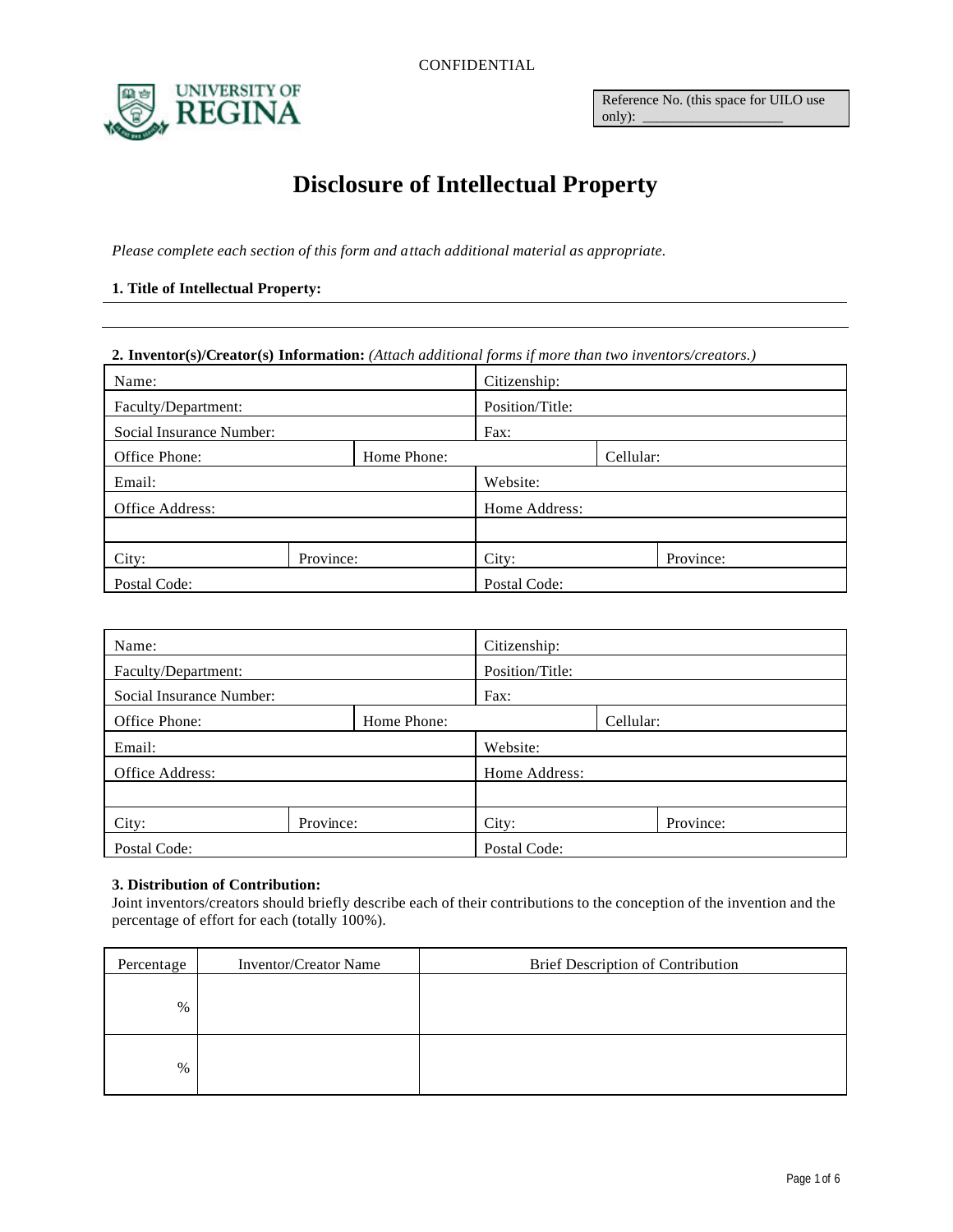CONFIDENTIAL



Reference No. (this space for UILO use only):

# **Disclosure of Intellectual Property**

*Please complete each section of this form and attach additional material as appropriate.*

## **1. Title of Intellectual Property:**

## **2. Inventor(s)/Creator(s) Information:** *(Attach additional forms if more than two inventors/creators.)*

| Name:                        |           | Citizenship:    |           |  |           |
|------------------------------|-----------|-----------------|-----------|--|-----------|
| Faculty/Department:          |           | Position/Title: |           |  |           |
| Social Insurance Number:     |           | Fax:            |           |  |           |
| Office Phone:<br>Home Phone: |           |                 | Cellular: |  |           |
| Email:                       |           | Website:        |           |  |           |
| Office Address:              |           | Home Address:   |           |  |           |
|                              |           |                 |           |  |           |
| City:                        | Province: |                 | City:     |  | Province: |
| Postal Code:                 |           | Postal Code:    |           |  |           |

| Name:                        |           | Citizenship:    |       |  |           |
|------------------------------|-----------|-----------------|-------|--|-----------|
| Faculty/Department:          |           | Position/Title: |       |  |           |
| Social Insurance Number:     |           | Fax:            |       |  |           |
| Office Phone:<br>Home Phone: |           | Cellular:       |       |  |           |
| Email:                       |           | Website:        |       |  |           |
| Office Address:              |           | Home Address:   |       |  |           |
|                              |           |                 |       |  |           |
| City:                        | Province: |                 | City: |  | Province: |
| Postal Code:                 |           | Postal Code:    |       |  |           |

#### **3. Distribution of Contribution:**

Joint inventors/creators should briefly describe each of their contributions to the conception of the invention and the percentage of effort for each (totally 100%).

| Percentage | <b>Inventor/Creator Name</b> | Brief Description of Contribution |
|------------|------------------------------|-----------------------------------|
| $\%$       |                              |                                   |
| $\%$       |                              |                                   |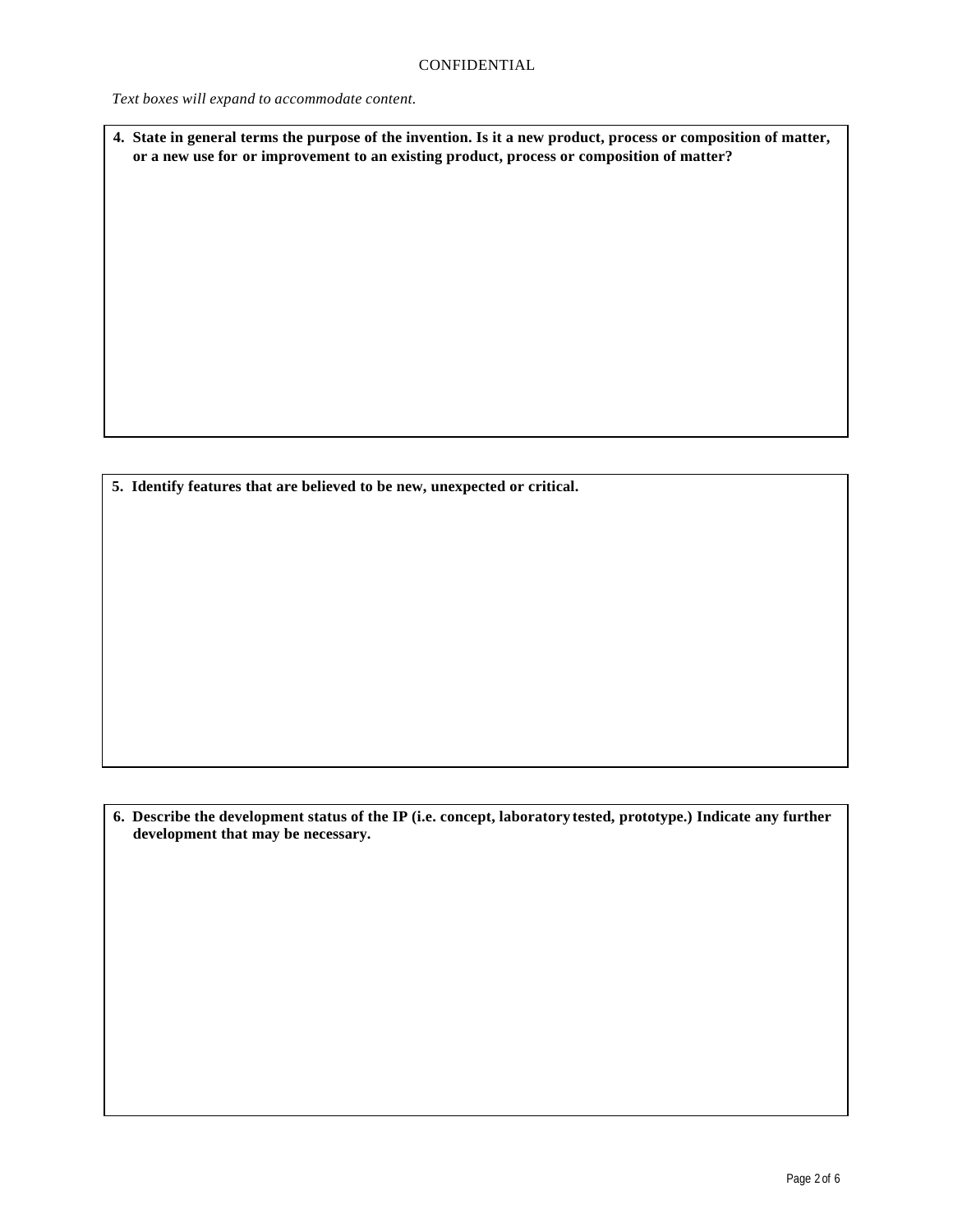*Text boxes will expand to accommodate content.*

**4. State in general terms the purpose of the invention. Is it a new product, process or composition of matter, or a new use for or improvement to an existing product, process or composition of matter?**

**5. Identify features that are believed to be new, unexpected or critical.**

**6. Describe the development status of the IP (i.e. concept, laboratory tested, prototype.) Indicate any further development that may be necessary.**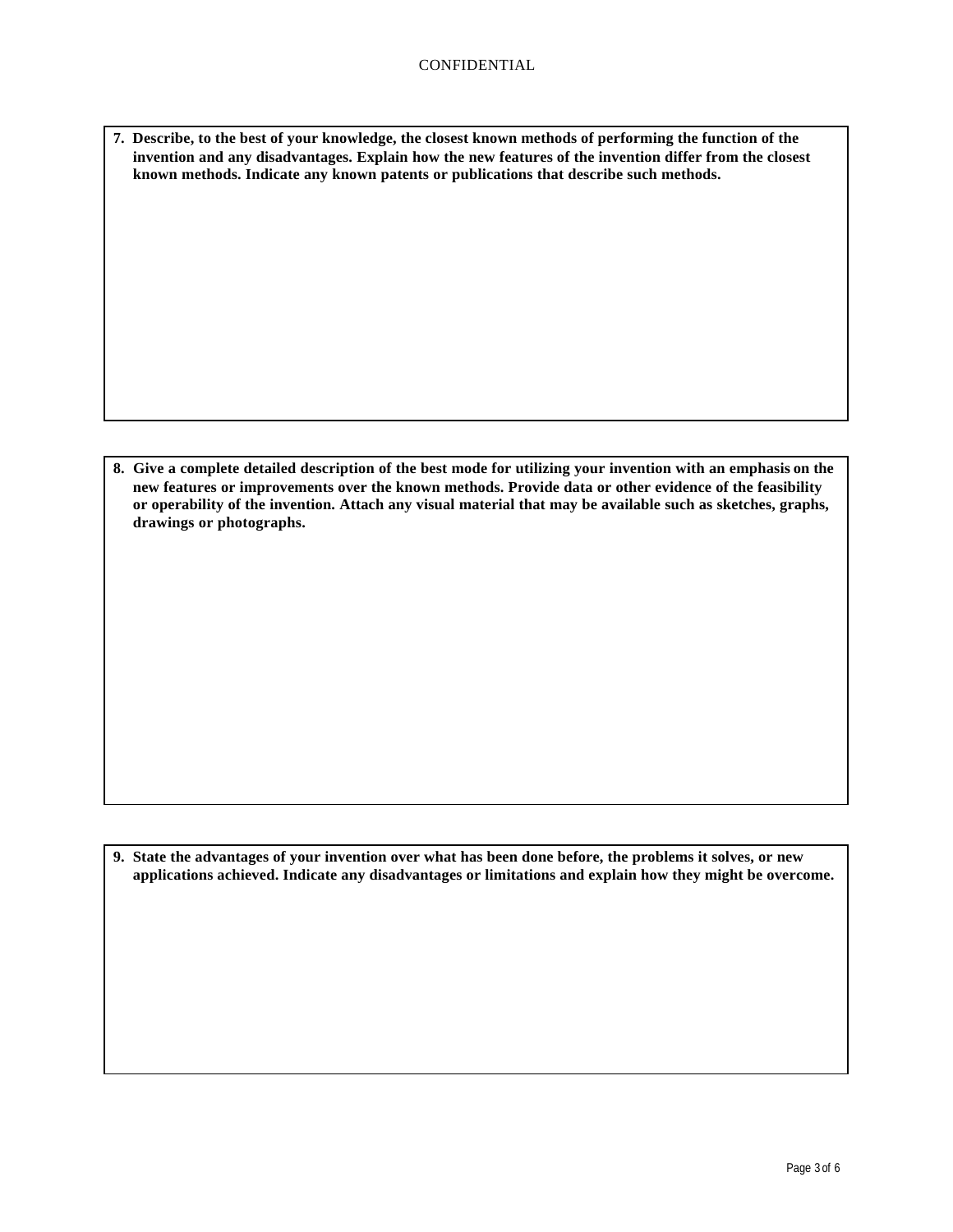**7. Describe, to the best of your knowledge, the closest known methods of performing the function of the invention and any disadvantages. Explain how the new features of the invention differ from the closest known methods. Indicate any known patents or publications that describe such methods.**

**8. Give a complete detailed description of the best mode for utilizing your invention with an emphasis on the new features or improvements over the known methods. Provide data or other evidence of the feasibility or operability of the invention. Attach any visual material that may be available such as sketches, graphs, drawings or photographs.**

**9. State the advantages of your invention over what has been done before, the problems it solves, or new applications achieved. Indicate any disadvantages or limitations and explain how they might be overcome.**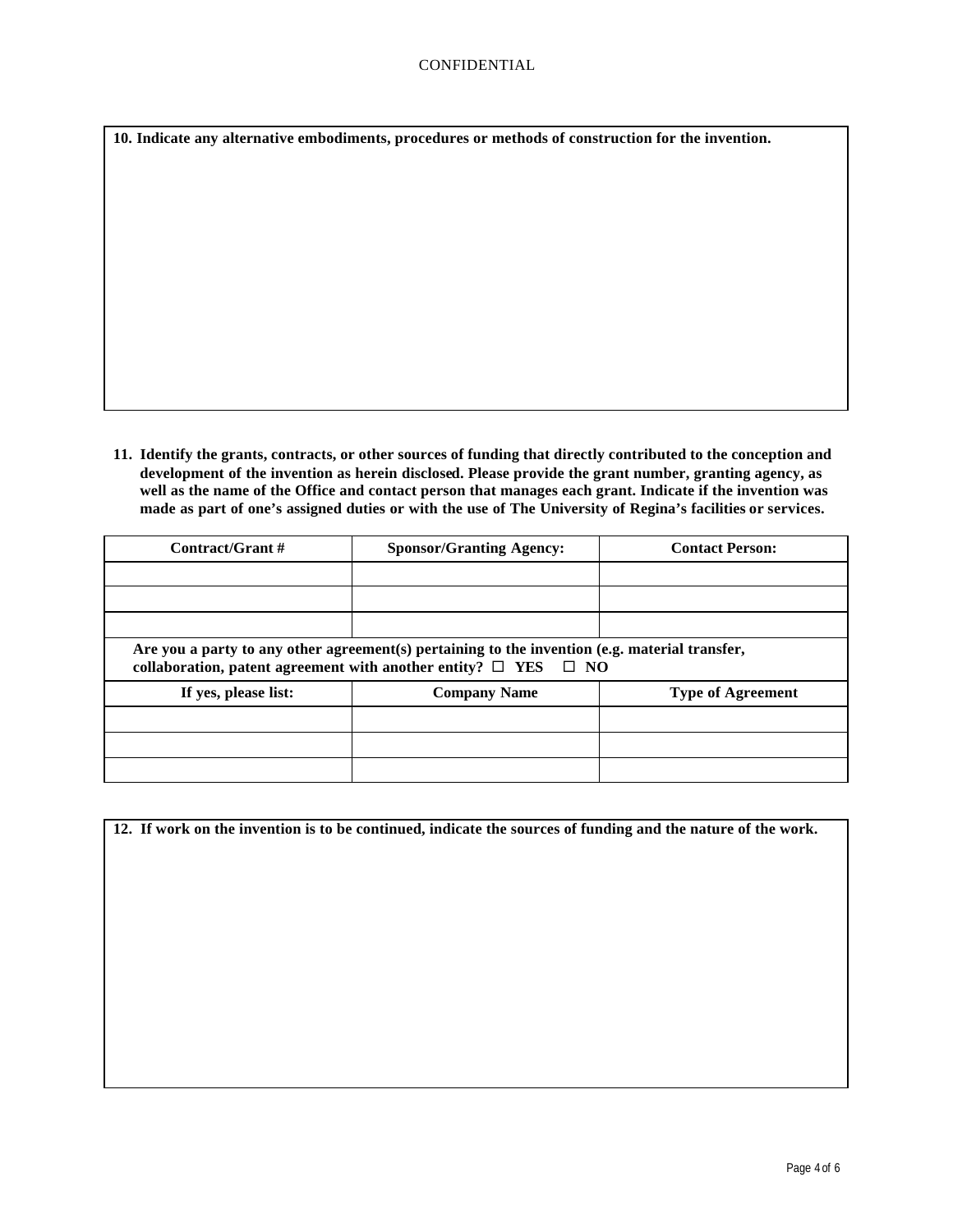**10. Indicate any alternative embodiments, procedures or methods of construction for the invention.**

**11. Identify the grants, contracts, or other sources of funding that directly contributed to the conception and development of the invention as herein disclosed. Please provide the grant number, granting agency, as well as the name of the Office and contact person that manages each grant. Indicate if the invention was made as part of one's assigned duties or with the use of The University of Regina's facilities or services.**

| Contract/Grant #                                                                                                                                                            | <b>Sponsor/Granting Agency:</b> | <b>Contact Person:</b>   |  |
|-----------------------------------------------------------------------------------------------------------------------------------------------------------------------------|---------------------------------|--------------------------|--|
|                                                                                                                                                                             |                                 |                          |  |
|                                                                                                                                                                             |                                 |                          |  |
|                                                                                                                                                                             |                                 |                          |  |
| Are you a party to any other agreement(s) pertaining to the invention (e.g. material transfer,<br>collaboration, patent agreement with another entity? $\Box$ YES $\Box$ NO |                                 |                          |  |
| If yes, please list:                                                                                                                                                        | <b>Company Name</b>             | <b>Type of Agreement</b> |  |
|                                                                                                                                                                             |                                 |                          |  |
|                                                                                                                                                                             |                                 |                          |  |
|                                                                                                                                                                             |                                 |                          |  |

| 12. If work on the invention is to be continued, indicate the sources of funding and the nature of the work. |  |  |  |
|--------------------------------------------------------------------------------------------------------------|--|--|--|
|                                                                                                              |  |  |  |
|                                                                                                              |  |  |  |
|                                                                                                              |  |  |  |
|                                                                                                              |  |  |  |
|                                                                                                              |  |  |  |
|                                                                                                              |  |  |  |
|                                                                                                              |  |  |  |
|                                                                                                              |  |  |  |
|                                                                                                              |  |  |  |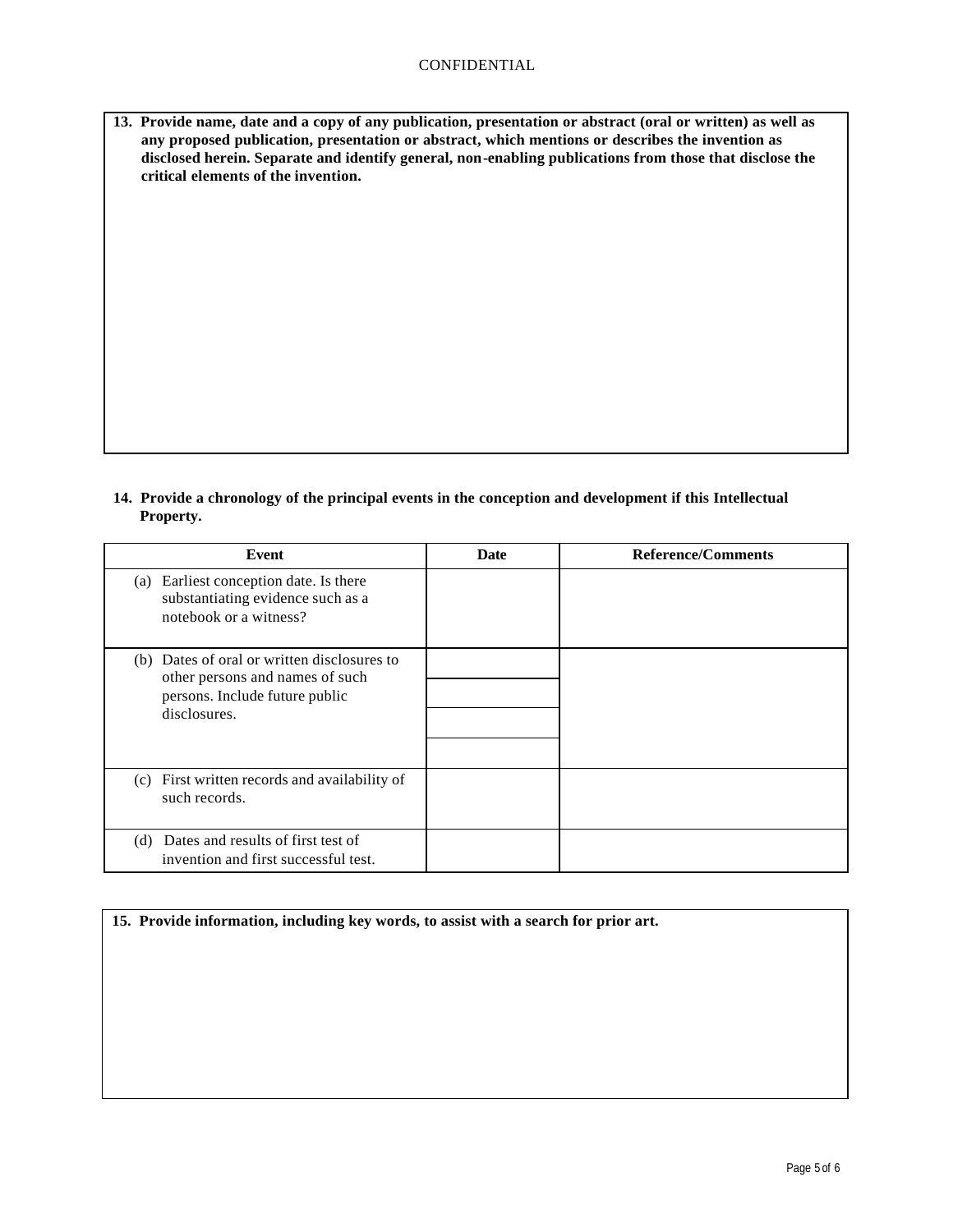| 13. Provide name, date and a copy of any publication, presentation or abstract (oral or written) as well as |
|-------------------------------------------------------------------------------------------------------------|
| any proposed publication, presentation or abstract, which mentions or describes the invention as            |
| disclosed herein. Separate and identify general, non-enabling publications from those that disclose the     |
| critical elements of the invention.                                                                         |

**14. Provide a chronology of the principal events in the conception and development if this Intellectual Property.**

| Event                                                                                                                            | <b>Date</b> | <b>Reference/Comments</b> |
|----------------------------------------------------------------------------------------------------------------------------------|-------------|---------------------------|
| Earliest conception date. Is there<br>(a)<br>substantiating evidence such as a<br>notebook or a witness?                         |             |                           |
| (b) Dates of oral or written disclosures to<br>other persons and names of such<br>persons. Include future public<br>disclosures. |             |                           |
| (c) First written records and availability of<br>such records.                                                                   |             |                           |
| (d) Dates and results of first test of<br>invention and first successful test.                                                   |             |                           |

| 15. Provide information, including key words, to assist with a search for prior art. |  |  |  |
|--------------------------------------------------------------------------------------|--|--|--|
|                                                                                      |  |  |  |
|                                                                                      |  |  |  |
|                                                                                      |  |  |  |
|                                                                                      |  |  |  |
|                                                                                      |  |  |  |
|                                                                                      |  |  |  |
|                                                                                      |  |  |  |